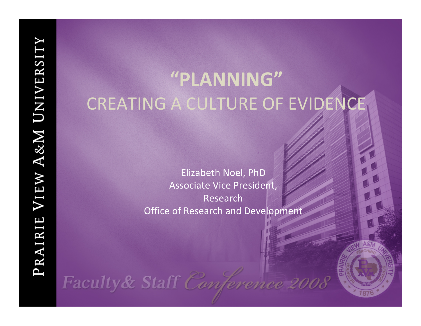# **"PLANNING"** CREATING A CULTURE OF EVIDENCE

Elizabeth Noel, PhD Associate Vice President, Research Office of Research and Development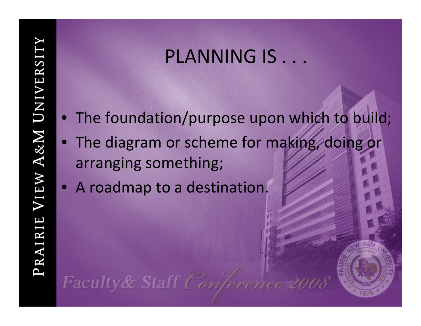#### PLANNING IS . . .

- The foundation/purpose upon which to build;
- The diagram or scheme for making, doing or arranging something;
- A roadmap to <sup>a</sup> destination.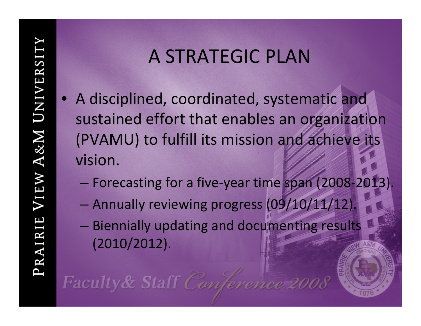#### A STRATEGIC PLAN

- A disciplined, coordinated, systematic and sustained effort that enables an organization (PVAMU) to fulfill its mission and achieve its vision.
	- Forecasting for <sup>a</sup> five‐year time span (2008‐2013).
	- Annually reviewing progress (09/10/11/12).
	- Biennially updating and documenting results (2010/2012).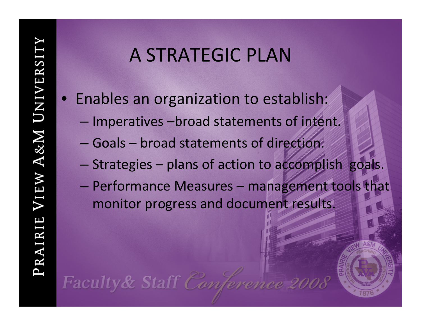#### A STRATEGIC PLAN

- Enables an organization to establish:
	- –- Imperatives -broad statements of intent.
	- Goals broad statements of direction.
	- –Strategies – plans of action to accomplish goals.
	- Performance Measures management tools that monitor progress and document results.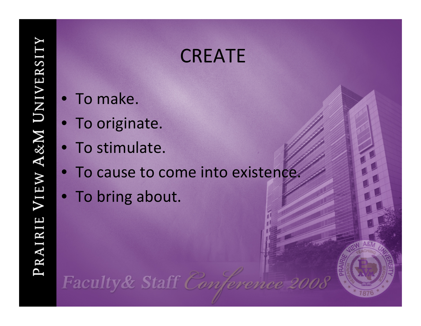#### **CREATE**

- To make.
- To originate.
- To stimulate.
- To cause to come into existence.
- To bring about.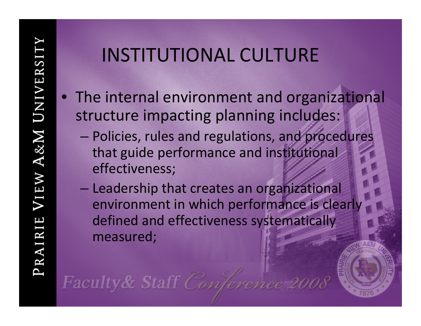- The internal environment and organizational structure impacting planning includes:
	- Policies, rules and regulations, and procedures that guide performance and institutional effectiveness;
	- Leadership that creates an organizational environment in which performance is clearly defined and effectiveness systematically measured;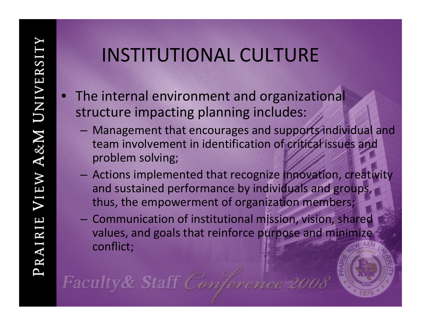- •• The internal environment and organizational structure impacting planning includes:
	- Management that encourages and supports individual and team involvement in identification of critical issues and problem solving;
	- Actions implemented that recognize innovation, creativity and sustained performance by individuals and groups, thus, the empowerment of organization members;
	- – Communication of institutional mission, vision, shared values, and goals that reinforce purpose and minimize conflict;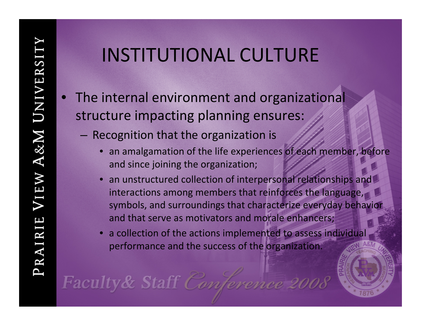- •• The internal environment and organizational structure impacting planning ensures:
	- $-$  Recognition that the organization is
		- •• an amalgamation of the life experiences of each member, before and since joining the organization;
		- •• an unstructured collection of interpersonal relationships and interactions among members that reinforces the language, symbols, and surroundings that characterize everyday behavior and that serve as motivators and morale enhancers;
		- a collection of the actions implemented to assess individual performance and the success of the organization.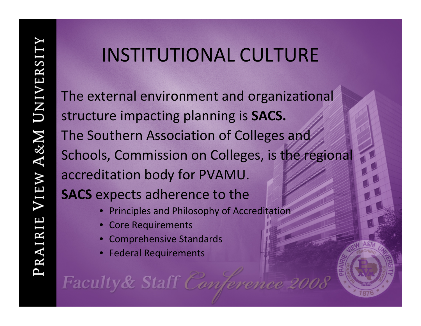The external environment and organizational structure impacting planning is **SACS.** The Southern Association of Colleges and Schools, Commission on Colleges, is the regional accreditation body for PVAMU. **SACS** expects adherence to the

- Principles and Philosophy of Accreditation
- •Core Requirements
- •Comprehensive Standards
- Federal Requirements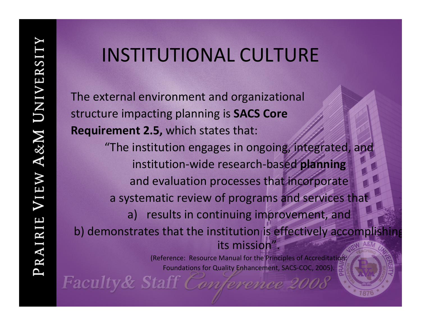The external environment and organizational structure impacting planning is **SACS Core Requirement 2.5,** which states that: "The institution engages in ongoing, integrated, and

institution ‐wide research ‐based **planning** and evaluation processes that incorporate a systematic review of programs and services that

a) results in continuing improvement, and

b) demonstrates that the institution is effectively accompli its mission".

> (Reference: Resource Manual for the Principles of Accreditation: Foundations for Quality Enhancement, SACS‐COC, 2005).

g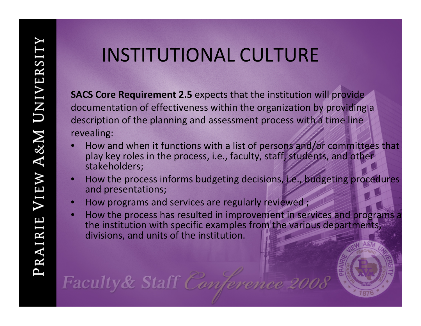**SACS Core Requirement 2.5** expects that the institution will provide documentation of effectiveness within the organization by providing a description of the planning and assessment process with a time line revealing:

- •• How and when it functions with a list of persons and/or committees that play key roles in the process, i.e., faculty, staff, students, and other stakeholders;
- •• How the process informs budgeting decisions, i.e., budgeting procedures and presentations;
- •**• How programs and services are regularly reviewed;**
- •• How the process has resulted in improvement in services and programs a the institution with specific examples from the various departments, divisions, and units of the institution.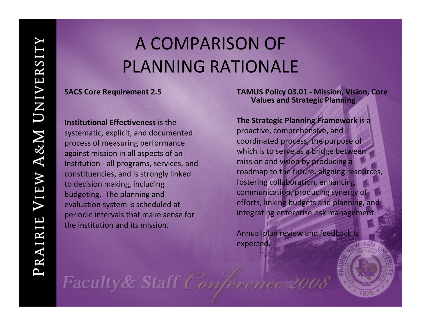#### A COMPARISON OF PLANNING RATIONALE

#### **SACS Core Requirement 2.5**

**Institutional Effectiveness** is thesystematic, explicit, and documented process of measuring performance against mission in all aspects of an Institution ‐ all programs, services, and constituencies, and is strongly linked to decision making, including budgeting. The planning and evaluation system is scheduled at periodic intervals that make sense for the institution and its mission.

**TAMUS Policy 03.01 ‐ Mission, Vision, Core Values and Strategic Planning**

**The Strategic Planning Framework** is <sup>a</sup> proactive, comprehensive, and

coordinated process, the purpose of which is to serve as <sup>a</sup> bridge between mission and vision by producing <sup>a</sup> roadmap to the future, aligning resources, fostering collaboration, enhancing communication, producing synergy of efforts, linking budgets and planning, and integrating enterprise risk management.

Annual plan review and feedback is expected.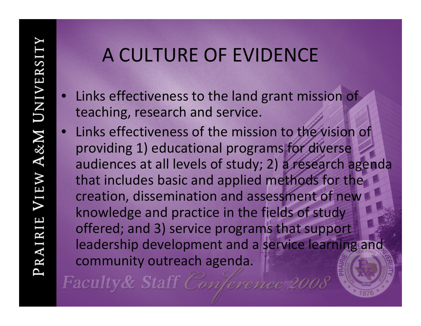- Links effectiveness to the land grant mission of teaching, research and service.
- Links effectiveness of the mission to the vision of providing 1) educational programs for diverse audiences at all levels of study; 2) <sup>a</sup> research agenda that includes basic and applied methods for the creation, dissemination and assessment of new knowledge and practice in the fields of study offered; and 3) service programs that support leadership development and <sup>a</sup> service learning and community outreach agenda.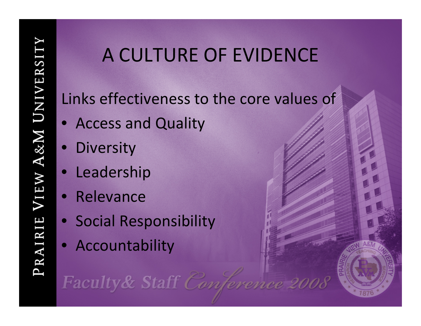Links effectiveness to the core values of

- Access and Quality
- Diversity
- Leadership
- Relevance
- Social Responsibility
- Accountability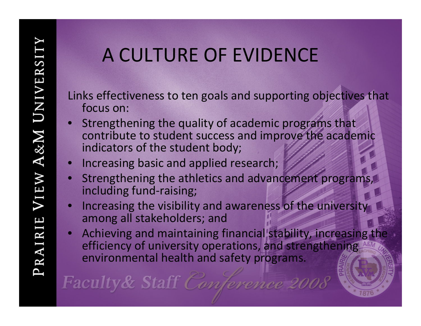Links effectiveness to ten goals and supporting objectives that focus on:

- • Strengthening the quality of academic programs that contribute to student success and improve the academic indicators of the student body;
- •Increasing basic and applied research;
- • Strengthening the athletics and advancement programs, including fund-raising;
- • Increasing the visibility and awareness of the university among all stakeholders; and
- • Achieving and maintaining financial stability, increasing the efficiency of university operations, and strengthening environmental health and safety programs.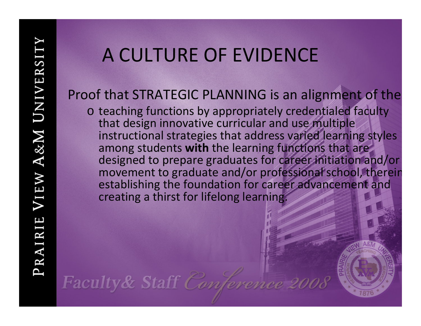#### Proof that STRATEGIC PLANNING is an alignment of the

o teaching functions by appropriately credentialed faculty that design innovative curricular and use multiple instructional strategies that address varied learning styles among students **with** the learning functions that are designed to prepare graduates for career initiation and/or movement to graduate and/or professional school, therein establishing the foundation for career advancement and creating <sup>a</sup> thirst for lifelong learning.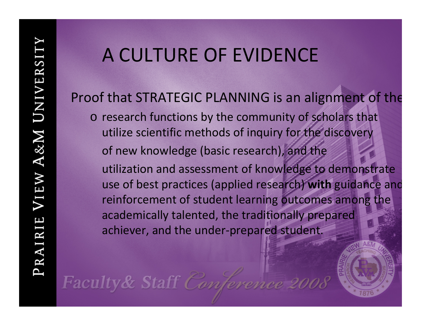Proof that STRATEGIC PLANNING is an alignment of the o research functions by the community of scholars that utilize scientific methods of inquiry for the discovery of new knowledge (basic research), and the utilization and assessment of knowledge to demonstrate use of best practices (applied research) **with** guidance and reinforcement of student learning outcomes among the academically talented, the traditionally prepared achiever, and the under‐prepared student.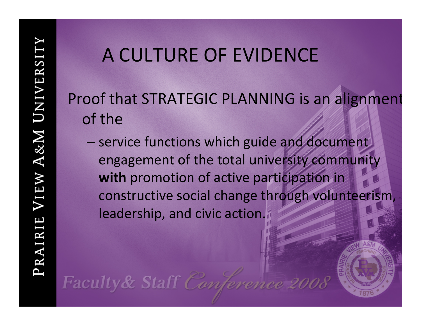Proof that STRATEGIC PLANNING is an alignment of the

– service functions which guide and document engagement of the total university community **with** promotion of active participation in constructive social change through volunteerism, leadership, and civic action.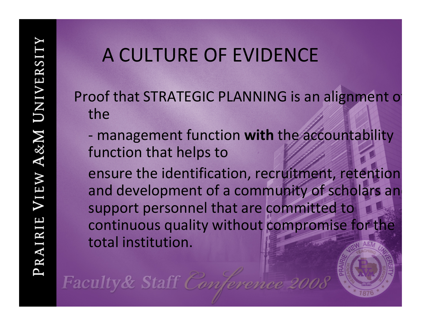Faculty & Staff Conference 2008

- Proof that STRATEGIC PLANNING is an alignment o the
	- ‐ management function **with** the accountability function that helps to

ensure the identification, recruitment, retention and development of a community of scholars an support personnel that are committed to continuous quality without compromise for the total institution.